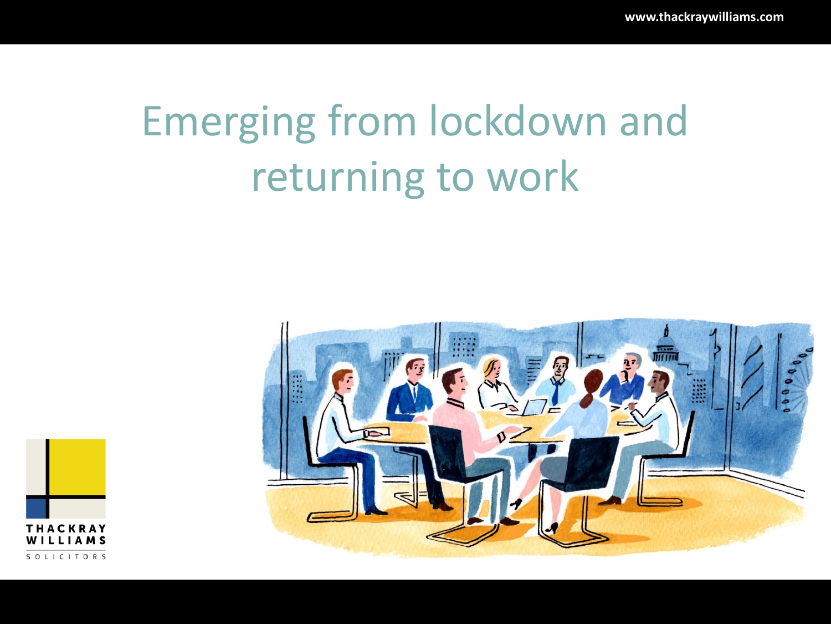# Emerging from lockdown and returning to work



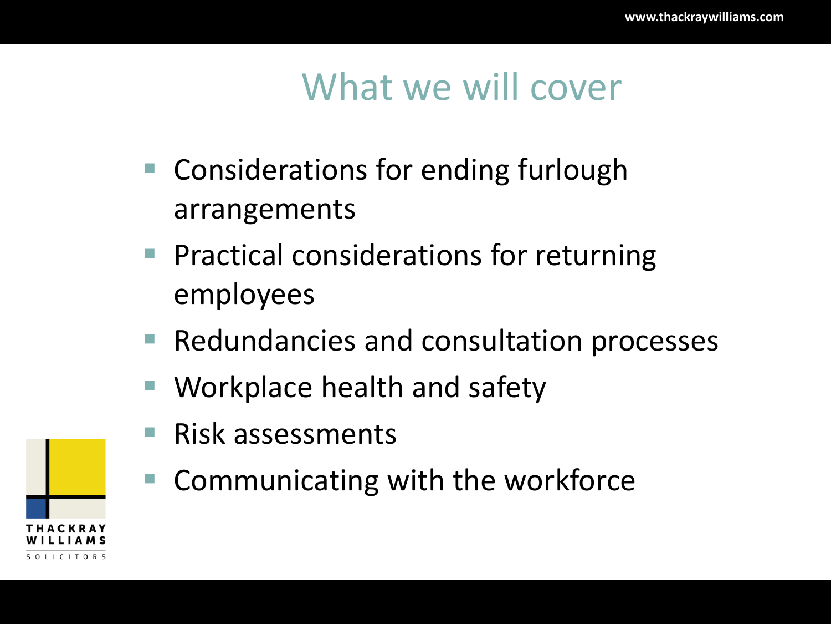#### What we will cover

- Considerations for ending furlough arrangements
- Practical considerations for returning employees
- Redundancies and consultation processes
- Workplace health and safety
- Risk assessments
- Communicating with the workforce

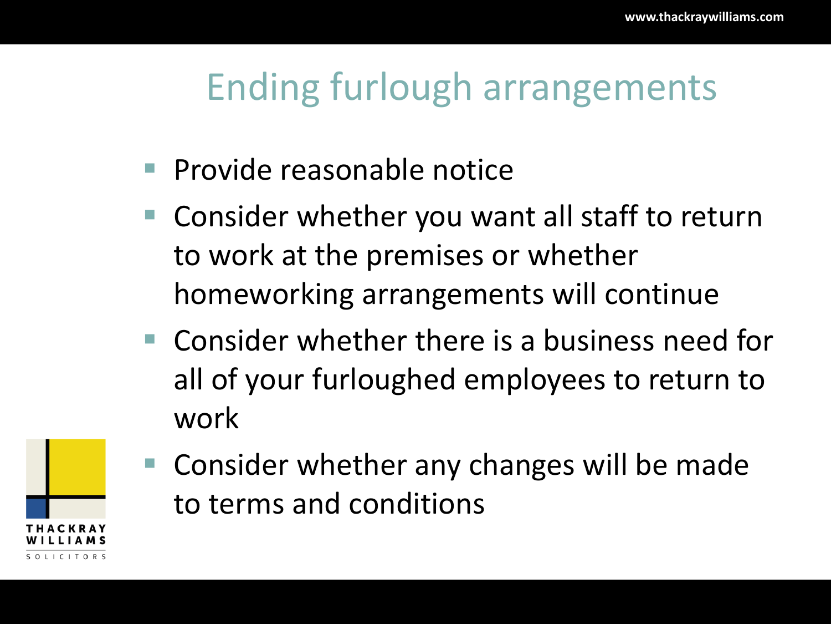#### Ending furlough arrangements

- Provide reasonable notice
- Consider whether you want all staff to return to work at the premises or whether homeworking arrangements will continue
- Consider whether there is a business need for all of your furloughed employees to return to work



■ Consider whether any changes will be made to terms and conditions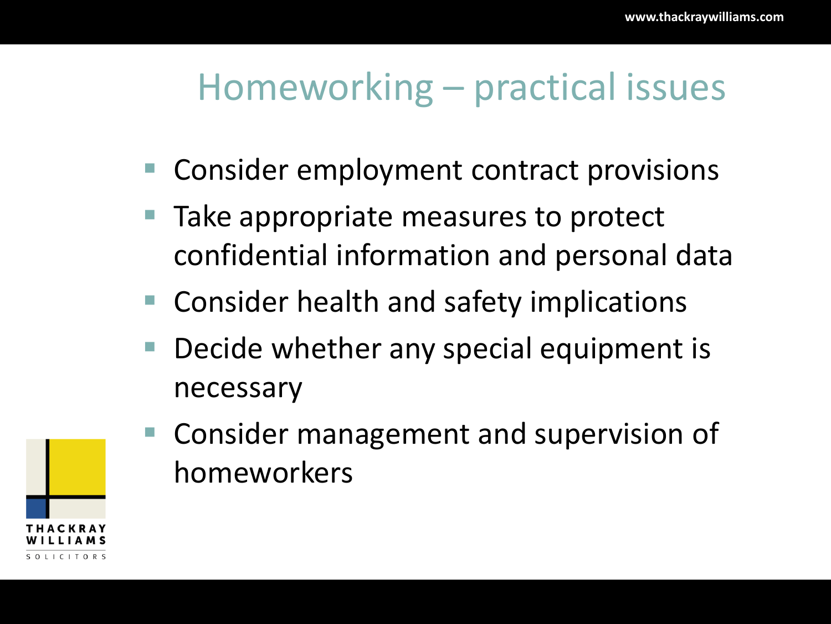#### Homeworking – practical issues

- Consider employment contract provisions
- Take appropriate measures to protect confidential information and personal data
- Consider health and safety implications
- Decide whether any special equipment is necessary



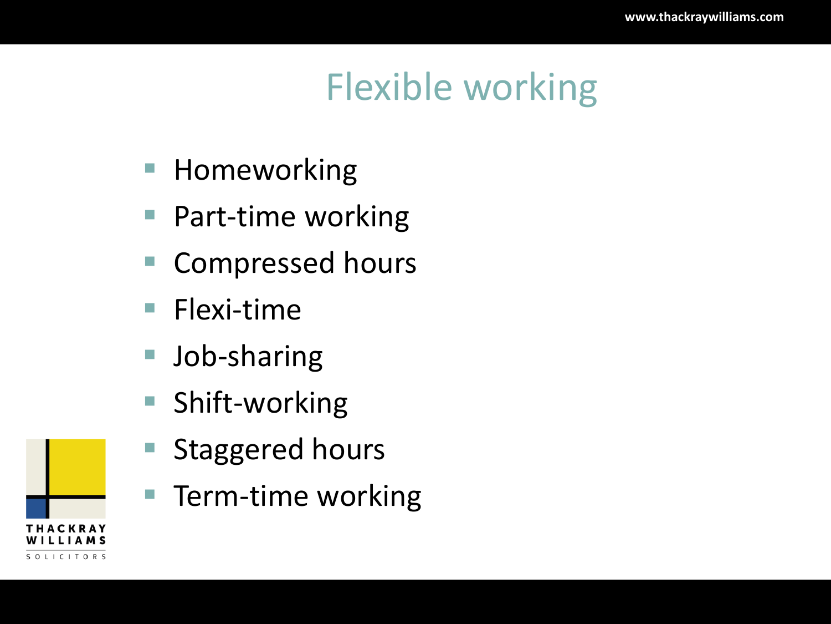## Flexible working

- Homeworking
- Part-time working
- Compressed hours
- Flexi-time
- Job-sharing
- Shift-working
- Staggered hours
- Term-time working

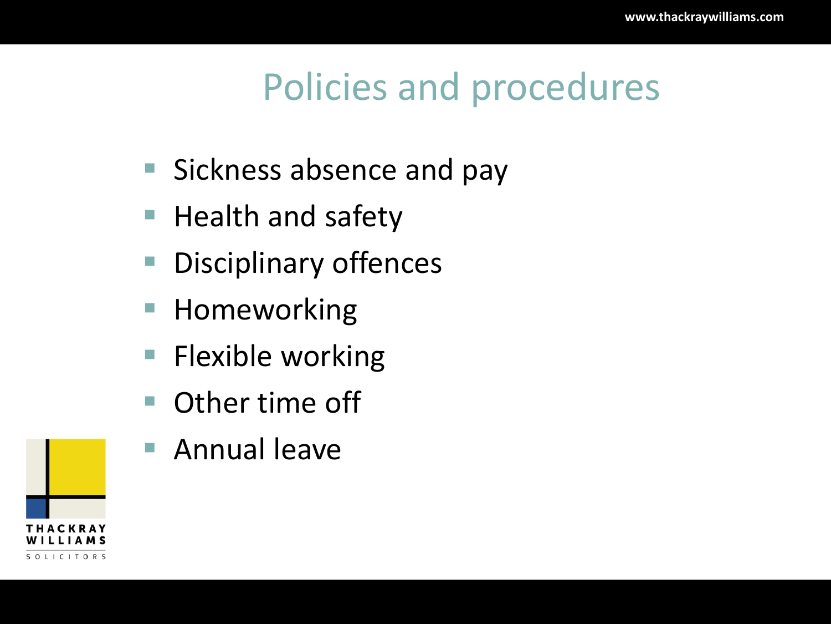#### Policies and procedures

- Sickness absence and pay
- Health and safety
- **Disciplinary offences**
- Homeworking
- Flexible working
- Other time off
- Annual leave

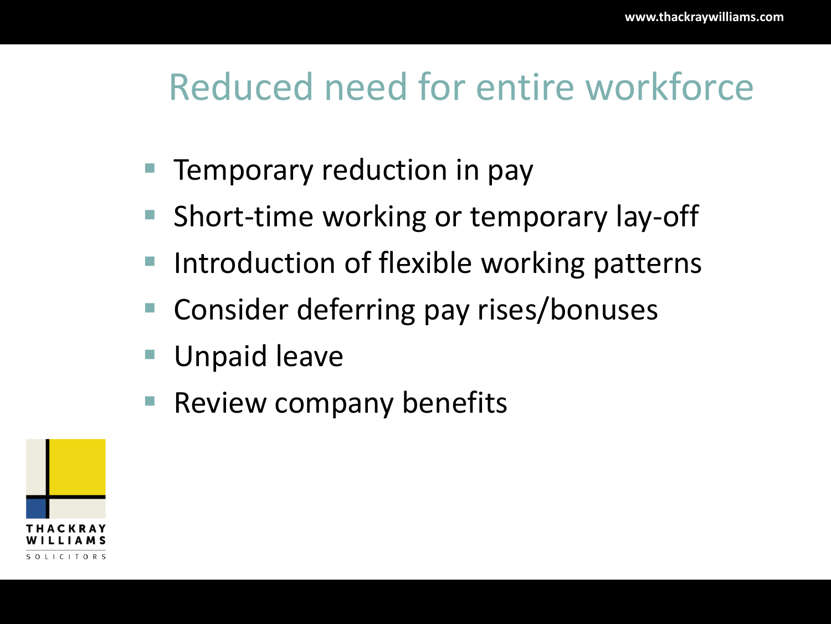#### Reduced need for entire workforce

- Temporary reduction in pay
- Short-time working or temporary lay-off
- Introduction of flexible working patterns
- Consider deferring pay rises/bonuses
- Unpaid leave
- Review company benefits

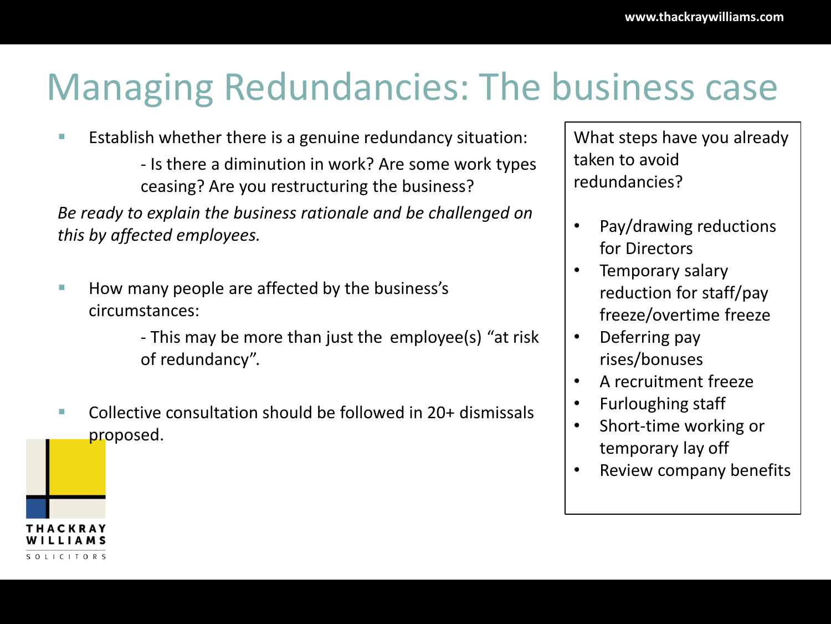#### Managing Redundancies: The business case

- Establish whether there is a genuine redundancy situation:
	- Is there a diminution in work? Are some work types ceasing? Are you restructuring the business?

*Be ready to explain the business rationale and be challenged on this by affected employees.*

■ How many people are affected by the business's circumstances:

SOLICITORS

- This may be more than just the employee(s) "at risk of redundancy".

■ Collective consultation should be followed in 20+ dismissals proposed.

What steps have you already taken to avoid redundancies?

- Pay/drawing reductions for Directors
- Temporary salary reduction for staff/pay freeze/overtime freeze
- Deferring pay rises/bonuses
- A recruitment freeze
- Furloughing staff
- Short-time working or temporary lay off
- Review company benefits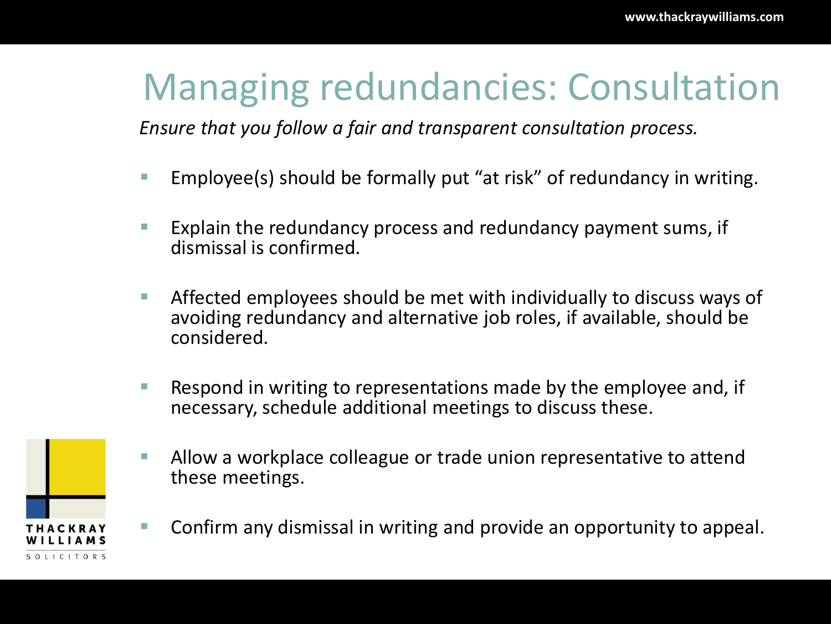#### Managing redundancies: Consultation

*Ensure that you follow a fair and transparent consultation process.*

- Employee(s) should be formally put "at risk" of redundancy in writing.
- Explain the redundancy process and redundancy payment sums, if dismissal is confirmed.
- Affected employees should be met with individually to discuss ways of avoiding redundancy and alternative job roles, if available, should be considered.
- Respond in writing to representations made by the employee and, if necessary, schedule additional meetings to discuss these.



- Allow a workplace colleague or trade union representative to attend these meetings.
- Confirm any dismissal in writing and provide an opportunity to appeal.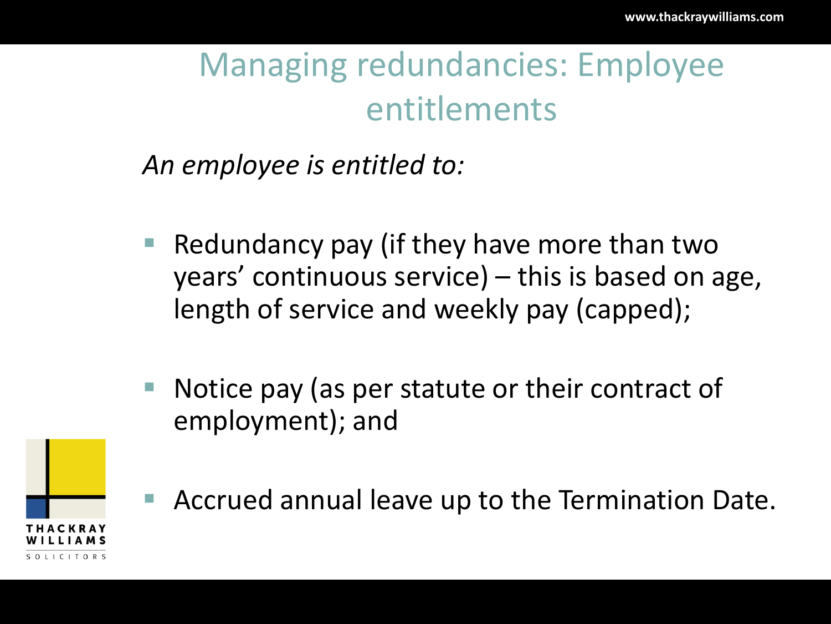#### Managing redundancies: Employee entitlements

*An employee is entitled to:*

- Redundancy pay (if they have more than two years' continuous service) – this is based on age, length of service and weekly pay (capped);
- Notice pay (as per statute or their contract of employment); and



Accrued annual leave up to the Termination Date.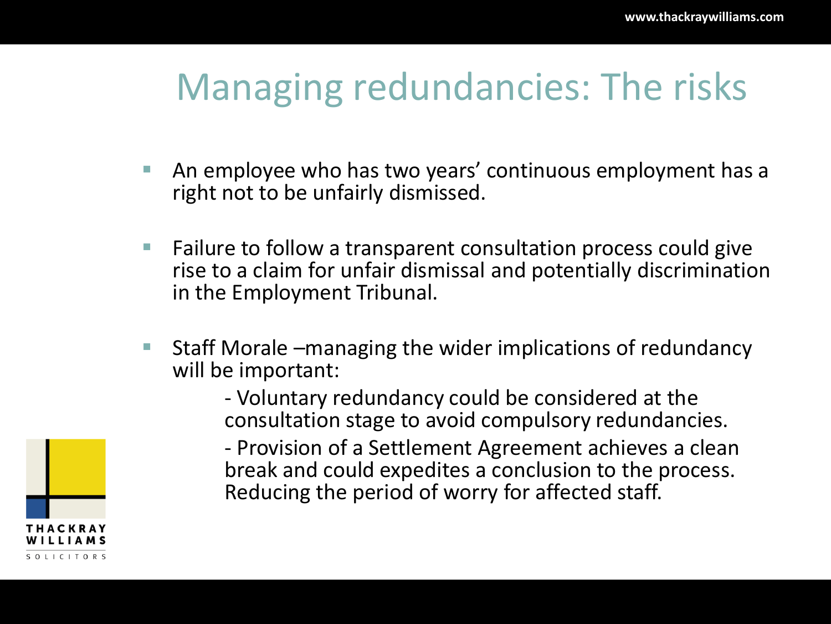#### Managing redundancies: The risks

- An employee who has two years' continuous employment has a right not to be unfairly dismissed.
- Failure to follow a transparent consultation process could give rise to a claim for unfair dismissal and potentially discrimination in the Employment Tribunal.
- Staff Morale –managing the wider implications of redundancy will be important:
	- Voluntary redundancy could be considered at the consultation stage to avoid compulsory redundancies.
	- Provision of a Settlement Agreement achieves a clean break and could expedites a conclusion to the process. Reducing the period of worry for affected staff.

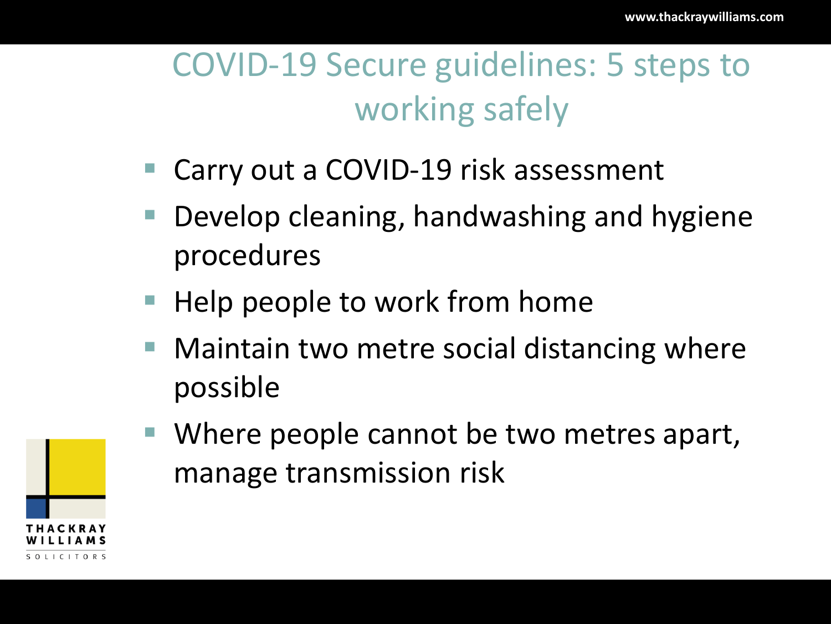#### COVID-19 Secure guidelines: 5 steps to working safely

- Carry out a COVID-19 risk assessment
- Develop cleaning, handwashing and hygiene procedures
- Help people to work from home
- Maintain two metre social distancing where possible



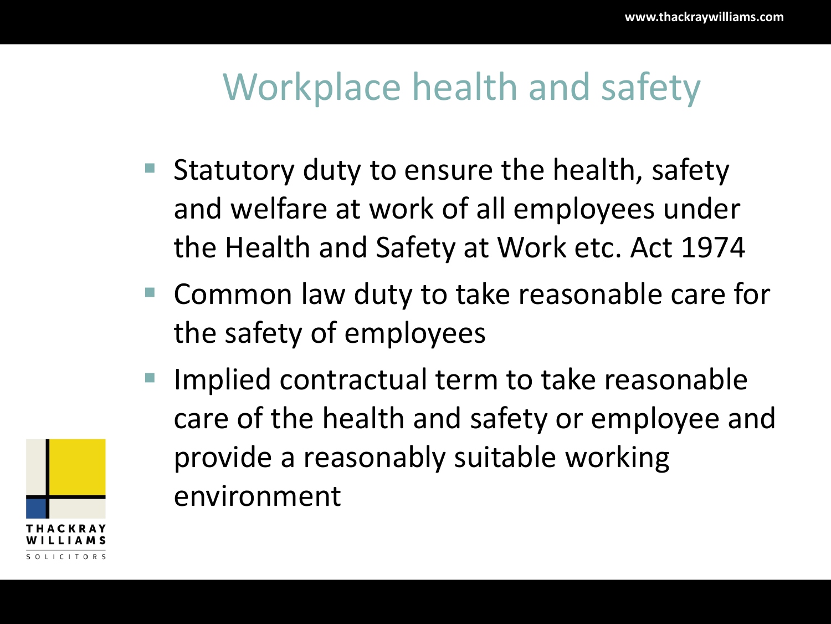#### Workplace health and safety

- Statutory duty to ensure the health, safety and welfare at work of all employees under the Health and Safety at Work etc. Act 1974
- Common law duty to take reasonable care for the safety of employees
- Implied contractual term to take reasonable care of the health and safety or employee and provide a reasonably suitable working environment

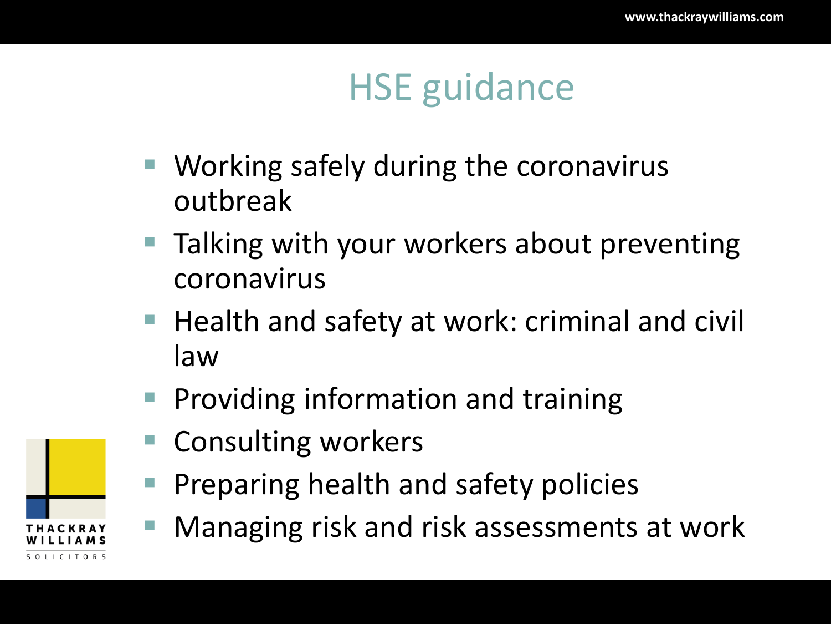### HSE guidance

- Working safely during the coronavirus outbreak
- Talking with your workers about preventing coronavirus
- Health and safety at work: criminal and civil law
- **Providing information and training**
- **Consulting workers**
- Preparing health and safety policies
- Managing risk and risk assessments at work

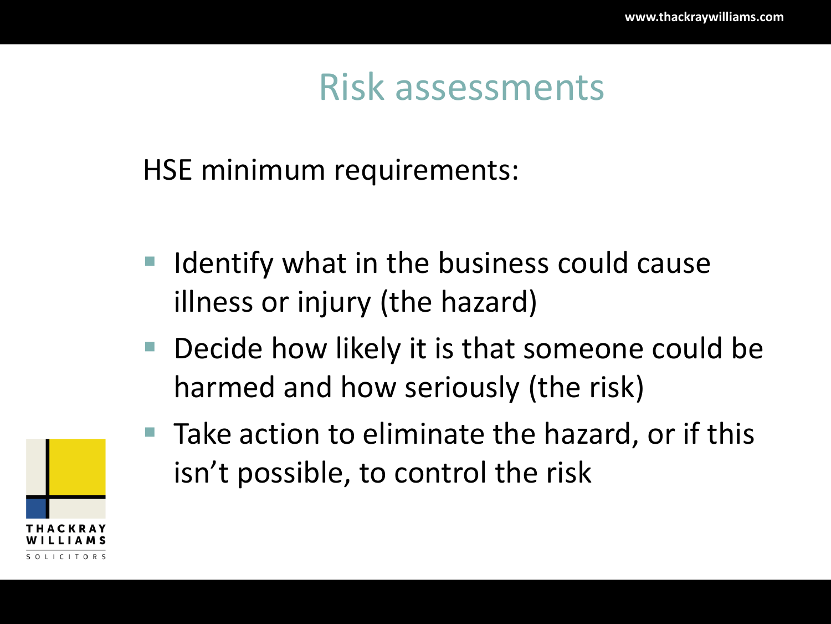#### Risk assessments

#### HSE minimum requirements:

- Identify what in the business could cause illness or injury (the hazard)
- Decide how likely it is that someone could be harmed and how seriously (the risk)



 $\blacksquare$  Take action to eliminate the hazard, or if this isn't possible, to control the risk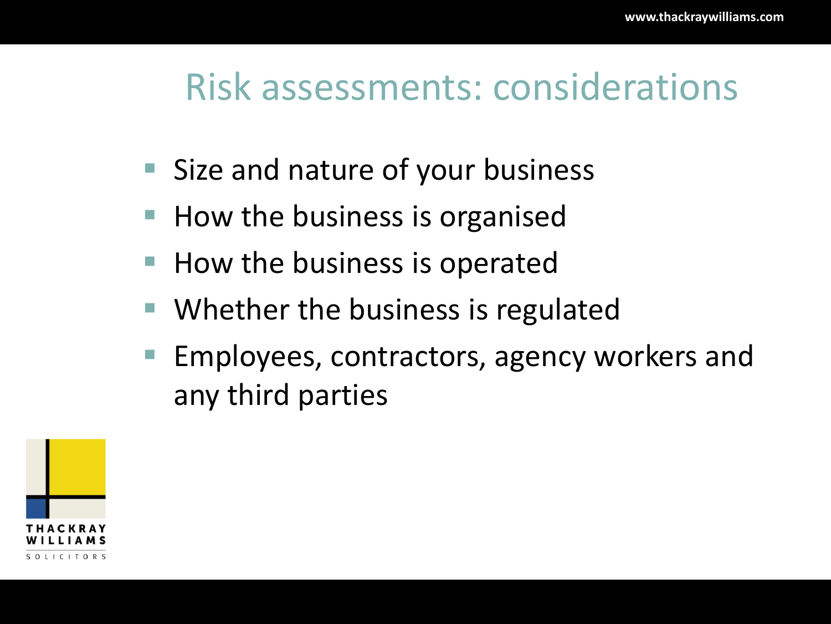#### Risk assessments: considerations

- Size and nature of your business
- How the business is organised
- How the business is operated
- Whether the business is regulated
- Employees, contractors, agency workers and any third parties

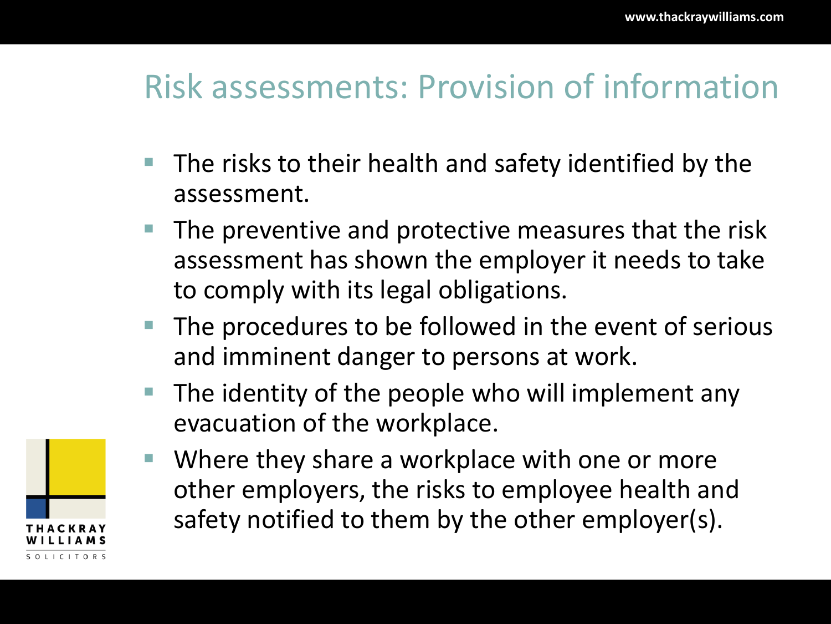#### Risk assessments: Provision of information

- The risks to their health and safety identified by the assessment.
- The preventive and protective measures that the risk assessment has shown the employer it needs to take to comply with its legal obligations.
- The procedures to be followed in the event of serious and imminent danger to persons at work.
- The identity of the people who will implement any evacuation of the workplace.



■ Where they share a workplace with one or more other employers, the risks to employee health and safety notified to them by the other employer(s).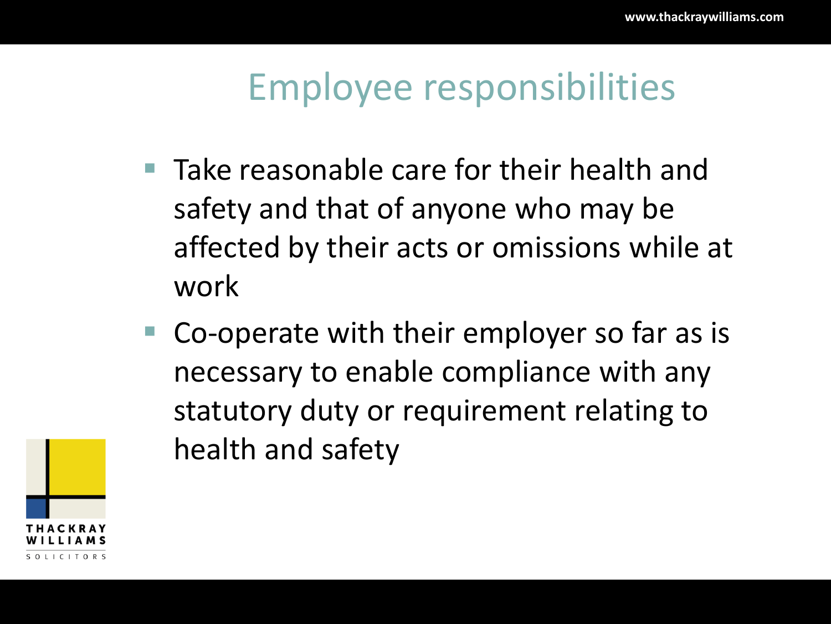#### Employee responsibilities

- Take reasonable care for their health and safety and that of anyone who may be affected by their acts or omissions while at work
- Co-operate with their employer so far as is necessary to enable compliance with any statutory duty or requirement relating to health and safety

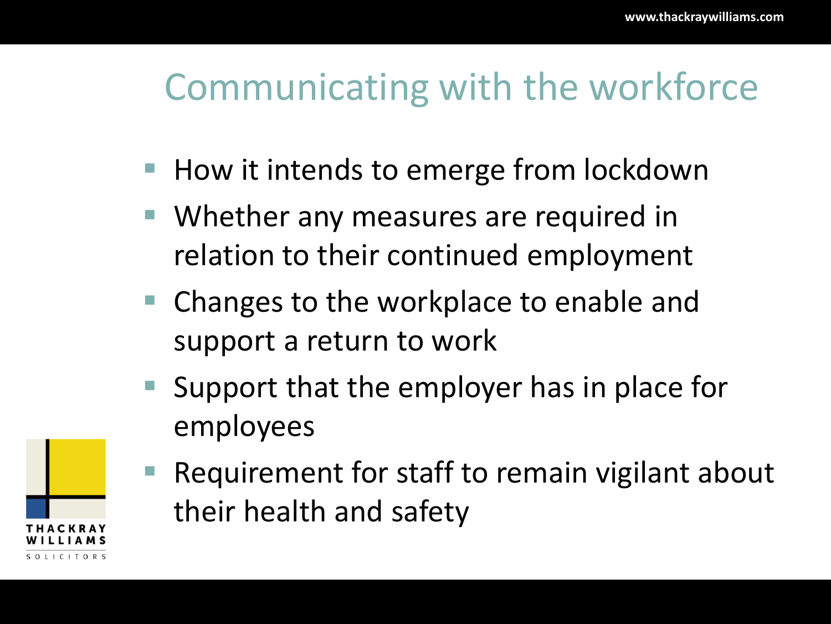#### Communicating with the workforce

- How it intends to emerge from lockdown
- Whether any measures are required in relation to their continued employment
- Changes to the workplace to enable and support a return to work
- Support that the employer has in place for employees



Requirement for staff to remain vigilant about their health and safety